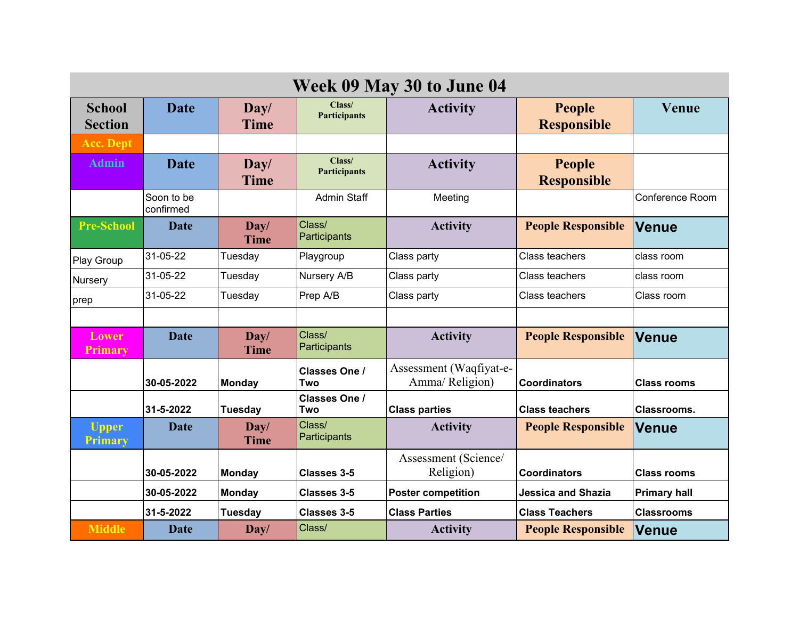| Week 09 May 30 to June 04       |                         |                           |                               |                                            |                                     |                     |  |  |  |  |
|---------------------------------|-------------------------|---------------------------|-------------------------------|--------------------------------------------|-------------------------------------|---------------------|--|--|--|--|
| <b>School</b><br><b>Section</b> | <b>Date</b>             | $\bf Day/$<br><b>Time</b> | Class/<br><b>Participants</b> | <b>Activity</b>                            | <b>People</b><br><b>Responsible</b> | Venue               |  |  |  |  |
| <b>Acc. Dept</b>                |                         |                           |                               |                                            |                                     |                     |  |  |  |  |
| <b>Admin</b>                    | <b>Date</b>             | $\bf Day/$<br><b>Time</b> | Class/<br><b>Participants</b> | <b>Activity</b>                            | People<br><b>Responsible</b>        |                     |  |  |  |  |
|                                 | Soon to be<br>confirmed |                           | <b>Admin Staff</b>            | Meeting                                    |                                     | Conference Room     |  |  |  |  |
| <b>Pre-School</b>               | <b>Date</b>             | $\bf Day/$<br><b>Time</b> | Class/<br>Participants        | <b>Activity</b>                            | <b>People Responsible</b>           | <b>Venue</b>        |  |  |  |  |
| Play Group                      | 31-05-22                | Tuesday                   | Playgroup                     | Class party                                | Class teachers                      | class room          |  |  |  |  |
| Nursery                         | 31-05-22                | Tuesday                   | Nursery A/B                   | Class party                                | Class teachers                      | class room          |  |  |  |  |
| prep                            | 31-05-22                | Tuesday                   | Prep A/B                      | Class party                                | Class teachers                      | Class room          |  |  |  |  |
|                                 |                         |                           |                               |                                            |                                     |                     |  |  |  |  |
| <b>Lower</b><br><b>Primary</b>  | <b>Date</b>             | $\bf Day/$<br><b>Time</b> | Class/<br>Participants        | <b>Activity</b>                            | <b>People Responsible</b>           | <b>Venue</b>        |  |  |  |  |
|                                 | 30-05-2022              | <b>Monday</b>             | <b>Classes One /</b><br>Two   | Assessment (Waqfiyat-e-<br>Amma/ Religion) | <b>Coordinators</b>                 | <b>Class rooms</b>  |  |  |  |  |
|                                 | 31-5-2022               | <b>Tuesday</b>            | Classes One /<br>Two          | <b>Class parties</b>                       | <b>Class teachers</b>               | Classrooms.         |  |  |  |  |
| <b>Upper</b><br><b>Primary</b>  | <b>Date</b>             | Day/<br><b>Time</b>       | Class/<br>Participants        | <b>Activity</b>                            | <b>People Responsible</b>           | <b>Venue</b>        |  |  |  |  |
|                                 | 30-05-2022              | <b>Monday</b>             | <b>Classes 3-5</b>            | Assessment (Science/<br>Religion)          | <b>Coordinators</b>                 | <b>Class rooms</b>  |  |  |  |  |
|                                 | 30-05-2022              | <b>Monday</b>             | <b>Classes 3-5</b>            | <b>Poster competition</b>                  | <b>Jessica and Shazia</b>           | <b>Primary hall</b> |  |  |  |  |
|                                 | 31-5-2022               | <b>Tuesday</b>            | <b>Classes 3-5</b>            | <b>Class Parties</b>                       | <b>Class Teachers</b>               | <b>Classrooms</b>   |  |  |  |  |
| <b>Middle</b>                   | <b>Date</b>             | Day/                      | Class/                        | <b>Activity</b>                            | <b>People Responsible</b>           | <b>Venue</b>        |  |  |  |  |